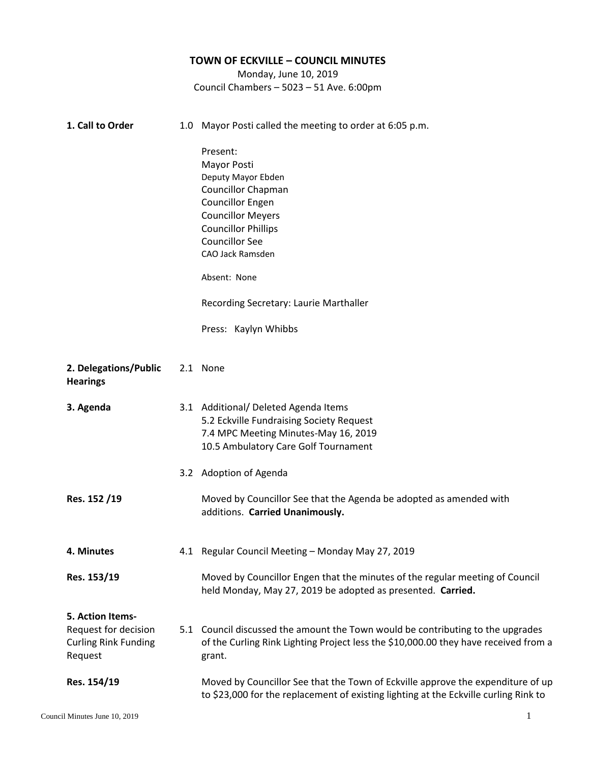## **TOWN OF ECKVILLE – COUNCIL MINUTES** Monday, June 10, 2019 Council Chambers – 5023 – 51 Ave. 6:00pm **1. Call to Order** 1.0 Mayor Posti called the meeting to order at 6:05 p.m. Present: Mayor Posti Deputy Mayor Ebden Councillor Chapman Councillor Engen Councillor Meyers Councillor Phillips Councillor See CAO Jack Ramsden Absent: None Recording Secretary: Laurie Marthaller Press: Kaylyn Whibbs 2. **2. Delegations/Public Hearings** 2.1 None **3. 3. Agenda Res. 152 /19** 3.1 Additional/ Deleted Agenda Items 3.2 Adoption of Agenda 5.2 Eckville Fundraising Society Request 7.4 MPC Meeting Minutes-May 16, 2019 10.5 Ambulatory Care Golf Tournament Moved by Councillor See that the Agenda be adopted as amended with additions. **Carried Unanimously. 4. 4. Minutes Res. 153/19** 4.1 Regular Council Meeting – Monday May 27, 2019 Moved by Councillor Engen that the minutes of the regular meeting of Council held Monday, May 27, 2019 be adopted as presented. **Carried. 5. Action Items-**Request for decision Curling Rink Funding Request **Res. 154/19** 5.1 Council discussed the amount the Town would be contributing to the upgrades of the Curling Rink Lighting Project less the \$10,000.00 they have received from a grant. Moved by Councillor See that the Town of Eckville approve the expenditure of up to \$23,000 for the replacement of existing lighting at the Eckville curling Rink to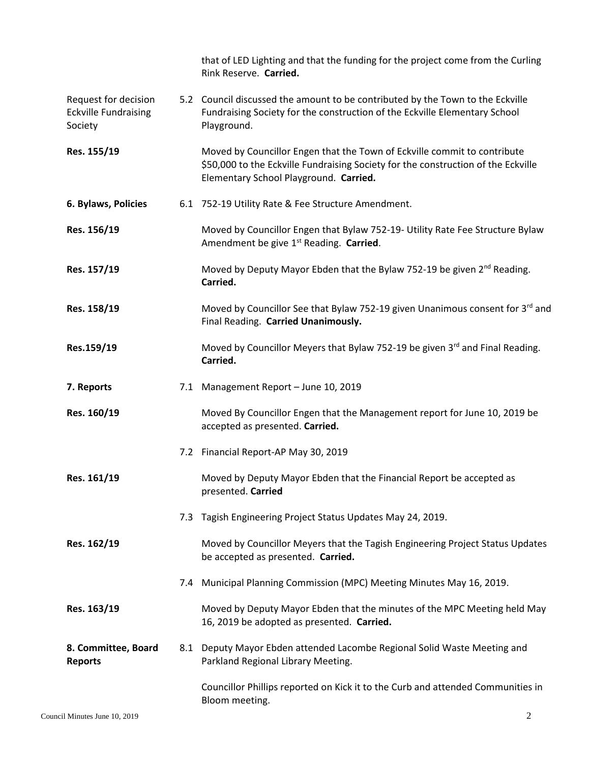|                                                                |     | that of LED Lighting and that the funding for the project come from the Curling<br>Rink Reserve. Carried.                                                                                               |
|----------------------------------------------------------------|-----|---------------------------------------------------------------------------------------------------------------------------------------------------------------------------------------------------------|
| Request for decision<br><b>Eckville Fundraising</b><br>Society |     | 5.2 Council discussed the amount to be contributed by the Town to the Eckville<br>Fundraising Society for the construction of the Eckville Elementary School<br>Playground.                             |
| Res. 155/19                                                    |     | Moved by Councillor Engen that the Town of Eckville commit to contribute<br>\$50,000 to the Eckville Fundraising Society for the construction of the Eckville<br>Elementary School Playground. Carried. |
| 6. Bylaws, Policies                                            |     | 6.1 752-19 Utility Rate & Fee Structure Amendment.                                                                                                                                                      |
| Res. 156/19                                                    |     | Moved by Councillor Engen that Bylaw 752-19- Utility Rate Fee Structure Bylaw<br>Amendment be give 1 <sup>st</sup> Reading. Carried.                                                                    |
| Res. 157/19                                                    |     | Moved by Deputy Mayor Ebden that the Bylaw 752-19 be given 2 <sup>nd</sup> Reading.<br>Carried.                                                                                                         |
| Res. 158/19                                                    |     | Moved by Councillor See that Bylaw 752-19 given Unanimous consent for 3rd and<br>Final Reading. Carried Unanimously.                                                                                    |
| Res.159/19                                                     |     | Moved by Councillor Meyers that Bylaw 752-19 be given 3rd and Final Reading.<br>Carried.                                                                                                                |
| 7. Reports                                                     |     | 7.1 Management Report - June 10, 2019                                                                                                                                                                   |
| Res. 160/19                                                    |     | Moved By Councillor Engen that the Management report for June 10, 2019 be<br>accepted as presented. Carried.                                                                                            |
|                                                                |     | 7.2 Financial Report-AP May 30, 2019                                                                                                                                                                    |
| Res. 161/19                                                    |     | Moved by Deputy Mayor Ebden that the Financial Report be accepted as<br>presented. Carried                                                                                                              |
|                                                                | 7.3 | Tagish Engineering Project Status Updates May 24, 2019.                                                                                                                                                 |
| Res. 162/19                                                    |     | Moved by Councillor Meyers that the Tagish Engineering Project Status Updates<br>be accepted as presented. Carried.                                                                                     |
|                                                                |     | 7.4 Municipal Planning Commission (MPC) Meeting Minutes May 16, 2019.                                                                                                                                   |
| Res. 163/19                                                    |     | Moved by Deputy Mayor Ebden that the minutes of the MPC Meeting held May<br>16, 2019 be adopted as presented. Carried.                                                                                  |
| 8. Committee, Board<br><b>Reports</b>                          |     | 8.1 Deputy Mayor Ebden attended Lacombe Regional Solid Waste Meeting and<br>Parkland Regional Library Meeting.                                                                                          |
|                                                                |     | Councillor Phillips reported on Kick it to the Curb and attended Communities in<br>Bloom meeting.                                                                                                       |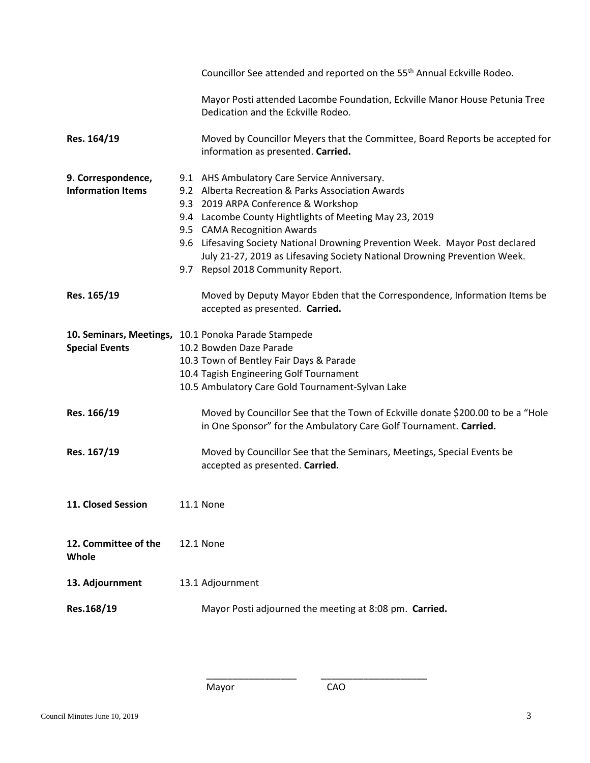|                                                | Councillor See attended and reported on the 55 <sup>th</sup> Annual Eckville Rodeo.                                                                                                                                                                                                                                                                                                                                                  |
|------------------------------------------------|--------------------------------------------------------------------------------------------------------------------------------------------------------------------------------------------------------------------------------------------------------------------------------------------------------------------------------------------------------------------------------------------------------------------------------------|
|                                                | Mayor Posti attended Lacombe Foundation, Eckville Manor House Petunia Tree<br>Dedication and the Eckville Rodeo.                                                                                                                                                                                                                                                                                                                     |
| Res. 164/19                                    | Moved by Councillor Meyers that the Committee, Board Reports be accepted for<br>information as presented. Carried.                                                                                                                                                                                                                                                                                                                   |
| 9. Correspondence,<br><b>Information Items</b> | 9.1 AHS Ambulatory Care Service Anniversary.<br>9.2 Alberta Recreation & Parks Association Awards<br>9.3 2019 ARPA Conference & Workshop<br>9.4 Lacombe County Hightlights of Meeting May 23, 2019<br>9.5 CAMA Recognition Awards<br>9.6 Lifesaving Society National Drowning Prevention Week. Mayor Post declared<br>July 21-27, 2019 as Lifesaving Society National Drowning Prevention Week.<br>9.7 Repsol 2018 Community Report. |
| Res. 165/19                                    | Moved by Deputy Mayor Ebden that the Correspondence, Information Items be<br>accepted as presented. Carried.                                                                                                                                                                                                                                                                                                                         |
| <b>Special Events</b>                          | 10. Seminars, Meetings, 10.1 Ponoka Parade Stampede<br>10.2 Bowden Daze Parade<br>10.3 Town of Bentley Fair Days & Parade<br>10.4 Tagish Engineering Golf Tournament<br>10.5 Ambulatory Care Gold Tournament-Sylvan Lake                                                                                                                                                                                                             |
| Res. 166/19                                    | Moved by Councillor See that the Town of Eckville donate \$200.00 to be a "Hole<br>in One Sponsor" for the Ambulatory Care Golf Tournament. Carried.                                                                                                                                                                                                                                                                                 |
| Res. 167/19                                    | Moved by Councillor See that the Seminars, Meetings, Special Events be<br>accepted as presented. Carried.                                                                                                                                                                                                                                                                                                                            |
| 11. Closed Session                             | 11.1 None                                                                                                                                                                                                                                                                                                                                                                                                                            |
| 12. Committee of the<br>Whole                  | 12.1 None                                                                                                                                                                                                                                                                                                                                                                                                                            |
| 13. Adjournment                                | 13.1 Adjournment                                                                                                                                                                                                                                                                                                                                                                                                                     |
| Res.168/19                                     | Mayor Posti adjourned the meeting at 8:08 pm. Carried.                                                                                                                                                                                                                                                                                                                                                                               |

\_\_\_\_\_\_\_\_\_\_\_\_\_\_\_\_\_ \_\_\_\_\_\_\_\_\_\_\_\_\_\_\_\_\_\_\_\_